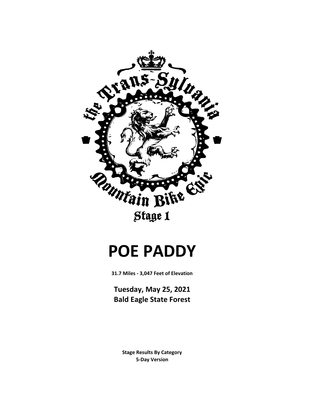

## **POE PADDY**

**31.7 Miles - 3,047 Feet of Elevation**

**Tuesday, May 25, 2021 Bald Eagle State Forest**

> **5-Day Version Stage Results By Category**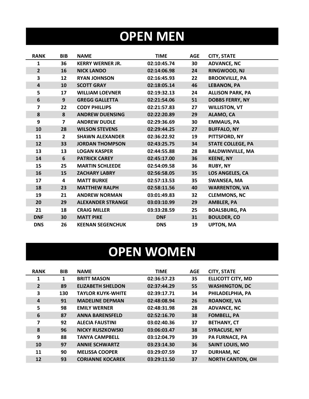## **OPEN MEN**

| <b>RANK</b>             | <b>BIB</b>     | <b>NAME</b>              | <b>TIME</b> | <b>AGE</b> | <b>CITY, STATE</b>       |
|-------------------------|----------------|--------------------------|-------------|------------|--------------------------|
| 1                       | 36             | <b>KERRY WERNER JR.</b>  | 02:10:45.74 | 30         | <b>ADVANCE, NC</b>       |
| $\overline{2}$          | 16             | <b>NICK LANDO</b>        | 02:14:06.98 | 24         | RINGWOOD, NJ             |
| 3                       | 12             | <b>RYAN JOHNSON</b>      | 02:16:45.93 | 22         | <b>BROOKVILLE, PA</b>    |
| $\overline{\mathbf{4}}$ | 10             | <b>SCOTT GRAY</b>        | 02:18:05.14 | 46         | <b>LEBANON, PA</b>       |
| 5                       | 17             | <b>WILLIAM LOEVNER</b>   | 02:19:32.13 | 24         | <b>ALLISON PARK, PA</b>  |
| 6                       | 9              | <b>GREGG GALLETTA</b>    | 02:21:54.06 | 51         | <b>DOBBS FERRY, NY</b>   |
| $\overline{ }$          | 22             | <b>CODY PHILLIPS</b>     | 02:21:57.83 | 27         | <b>WILLISTON, VT</b>     |
| 8                       | 8              | <b>ANDREW DUENSING</b>   | 02:22:20.89 | 29         | ALAMO, CA                |
| 9                       | $\overline{7}$ | <b>ANDREW DUDLE</b>      | 02:29:36.69 | 30         | <b>EMMAUS, PA</b>        |
| 10                      | 28             | <b>WILSON STEVENS</b>    | 02:29:44.25 | 27         | <b>BUFFALO, NY</b>       |
| 11                      | $\overline{2}$ | <b>SHAWN ALEXANDER</b>   | 02:36:22.92 | 19         | PITTSFORD, NY            |
| 12                      | 33             | <b>JORDAN THOMPSON</b>   | 02:43:25.75 | 34         | <b>STATE COLLEGE, PA</b> |
| 13                      | 13             | <b>LOGAN KASPER</b>      | 02:44:55.88 | 28         | <b>BALDWINVILLE, MA</b>  |
| 14                      | 6              | <b>PATRICK CAREY</b>     | 02:45:17.00 | 36         | <b>KEENE, NY</b>         |
| 15                      | 25             | <b>MARTIN SCHLEEDE</b>   | 02:54:09.58 | 36         | <b>RUBY, NY</b>          |
| 16                      | 15             | <b>ZACHARY LABRY</b>     | 02:56:58.05 | 35         | LOS ANGELES, CA          |
| 17                      | 4              | <b>MATT BURKE</b>        | 02:57:13.53 | 35         | SWANSEA, MA              |
| 18                      | 23             | <b>MATTHEW RALPH</b>     | 02:58:11.56 | 40         | <b>WARRENTON, VA</b>     |
| 19                      | 21             | <b>ANDREW NORMAN</b>     | 03:01:49.83 | 32         | <b>CLEMMONS, NC</b>      |
| 20                      | 29             | <b>ALEXANDER STRANGE</b> | 03:03:10.99 | 29         | <b>AMBLER, PA</b>        |
| 21                      | 18             | <b>CRAIG MILLER</b>      | 03:33:28.59 | 25         | <b>BOALSBURG, PA</b>     |
| <b>DNF</b>              | 30             | <b>MATT PIKE</b>         | <b>DNF</b>  | 31         | <b>BOULDER, CO</b>       |
| <b>DNS</b>              | 26             | <b>KEENAN SEGENCHUK</b>  | <b>DNS</b>  | 19         | <b>UPTON, MA</b>         |

## **OPEN WOMEN**

| <b>RANK</b>    | <b>BIB</b> | <b>NAME</b>              | <b>TIME</b> | <b>AGE</b> | <b>CITY, STATE</b>       |
|----------------|------------|--------------------------|-------------|------------|--------------------------|
| 1              | 1          | <b>BRITT MASON</b>       | 02:36:57.23 | 35         | <b>ELLICOTT CITY, MD</b> |
| $\overline{2}$ | 89         | <b>ELIZABETH SHELDON</b> | 02:37:44.29 | 55         | <b>WASHINGTON, DC</b>    |
| 3              | 130        | <b>TAYLOR KUYK-WHITE</b> | 02:39:17.71 | 34         | PHILADELPHIA, PA         |
| 4              | 91         | <b>MADELINE DEPMAN</b>   | 02:48:08.94 | 26         | <b>ROANOKE, VA</b>       |
| 5              | 98         | <b>EMILY WERNER</b>      | 02:48:31.98 | 28         | <b>ADVANCE, NC</b>       |
| 6              | 87         | <b>ANNA BARENSFELD</b>   | 02:52:16.70 | 38         | <b>FOMBELL, PA</b>       |
| 7              | 92         | <b>ALECIA FAUSTINI</b>   | 03:02:40.36 | 37         | <b>BETHANY, CT</b>       |
| 8              | 96         | <b>NICKY RUSZKOWSKI</b>  | 03:06:03.47 | 38         | <b>SYRACUSE, NY</b>      |
| 9              | 88         | <b>TANYA CAMPBELL</b>    | 03:12:04.79 | 39         | <b>PA FURNACE, PA</b>    |
| 10             | 97         | <b>ANNIE SCHWARTZ</b>    | 03:23:14.30 | 36         | <b>SAINT LOUIS, MO</b>   |
| 11             | 90         | <b>MELISSA COOPER</b>    | 03:29:07.59 | 37         | <b>DURHAM, NC</b>        |
| 12             | 93         | <b>CORIANNE KOCAREK</b>  | 03:29:11.50 | 37         | <b>NORTH CANTON, OH</b>  |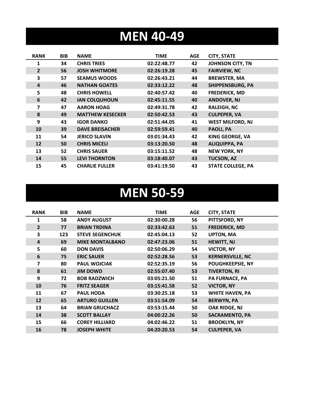### **MEN 40-49**

| <b>RANK</b>    | <b>BIB</b> | <b>NAME</b>             | <b>TIME</b> | AGE | <b>CITY, STATE</b>       |
|----------------|------------|-------------------------|-------------|-----|--------------------------|
| 1              | 34         | <b>CHRIS TRIES</b>      | 02:22:48.77 | 42  | <b>JOHNSON CITY, TN</b>  |
| $\overline{2}$ | 56         | <b>JOSH WHITMORE</b>    | 02:26:19.28 | 45  | <b>FAIRVIEW, NC</b>      |
| 3              | 57         | <b>SEAMUS WOODS</b>     | 02:26:43.21 | 44  | <b>BREWSTER, MA</b>      |
| 4              | 46         | <b>NATHAN GOATES</b>    | 02:33:12.22 | 48  | <b>SHIPPENSBURG, PA</b>  |
| 5              | 48         | <b>CHRIS HOWELL</b>     | 02:40:57.42 | 40  | <b>FREDERICK, MD</b>     |
| 6              | 42         | <b>IAN COLQUHOUN</b>    | 02:45:11.55 | 40  | <b>ANDOVER, NJ</b>       |
| 7              | 47         | <b>AARON HOAG</b>       | 02:49:31.78 | 42  | <b>RALEIGH, NC</b>       |
| 8              | 49         | <b>MATTHEW KESECKER</b> | 02:50:42.53 | 43  | <b>CULPEPER, VA</b>      |
| 9              | 43         | <b>IGOR DANKO</b>       | 02:51:44.05 | 41  | <b>WEST MILFORD, NJ</b>  |
| 10             | 39         | <b>DAVE BREISACHER</b>  | 02:59:59.41 | 40  | PAOLI, PA                |
| 11             | 54         | <b>JERICO SLAVIN</b>    | 03:01:34.43 | 42  | <b>KING GEORGE, VA</b>   |
| 12             | 50         | <b>CHRIS MICELI</b>     | 03:13:20.50 | 48  | <b>ALIQUIPPA, PA</b>     |
| 13             | 52         | <b>CHRIS SAUER</b>      | 03:15:11.52 | 48  | <b>NEW YORK, NY</b>      |
| 14             | 55         | <b>LEVI THORNTON</b>    | 03:18:40.07 | 43  | <b>TUCSON, AZ</b>        |
| 15             | 45         | <b>CHARLIE FULLER</b>   | 03:41:19.50 | 43  | <b>STATE COLLEGE, PA</b> |

#### **MEN 50-59**

| <b>RANK</b>    | <b>BIB</b> | <b>NAME</b>            | <b>TIME</b> | <b>AGE</b> | <b>CITY, STATE</b>      |
|----------------|------------|------------------------|-------------|------------|-------------------------|
| 1              | 58         | <b>ANDY AUGUST</b>     | 02:30:00.28 | 56         | PITTSFORD, NY           |
| $\overline{2}$ | 77         | <b>BRIAN TRDINA</b>    | 02:33:42.63 | 51         | <b>FREDERICK, MD</b>    |
| 3              | 123        | <b>STEVE SEGENCHUK</b> | 02:45:04.13 | 52         | <b>UPTON, MA</b>        |
| $\overline{4}$ | 69         | <b>MIKE MONTALBANO</b> | 02:47:23.06 | 51         | <b>HEWITT, NJ</b>       |
| 5              | 60         | <b>DON DAVIS</b>       | 02:50:06.29 | 54         | <b>VICTOR, NY</b>       |
| 6              | 75         | <b>ERIC SAUER</b>      | 02:52:28.56 | 53         | <b>KERNERSVILLE, NC</b> |
| 7              | 80         | <b>PAUL WOJCIAK</b>    | 02:52:35.19 | 56         | <b>POUGHKEEPSIE, NY</b> |
| 8              | 61         | <b>JIM DOWD</b>        | 02:55:07.40 | 53         | <b>TIVERTON, RI</b>     |
| 9              | 72         | <b>BOB RADZWICH</b>    | 03:05:21.50 | 51         | <b>PA FURNACE, PA</b>   |
| 10             | 76         | <b>FRITZ SEAGER</b>    | 03:15:41.58 | 52         | <b>VICTOR, NY</b>       |
| 11             | 67         | <b>PAUL HODA</b>       | 03:30:25.18 | 53         | <b>WHITE HAVEN, PA</b>  |
| 12             | 65         | <b>ARTURO GUILLEN</b>  | 03:51:54.09 | 54         | <b>BERWYN, PA</b>       |
| 13             | 64         | <b>BRIAN GRUCHACZ</b>  | 03:53:15.44 | 50         | OAK RIDGE, NJ           |
| 14             | 38         | <b>SCOTT BALLAY</b>    | 04:00:22.26 | 50         | <b>SACRAMENTO, PA</b>   |
| 15             | 66         | <b>COREY HILLIARD</b>  | 04:02:46.22 | 51         | <b>BROOKLYN, NY</b>     |
| 16             | 78         | <b>JOSEPH WHITE</b>    | 04:20:20.53 | 54         | <b>CULPEPER, VA</b>     |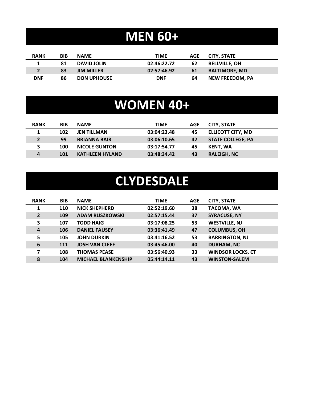### **MEN 60+**

| <b>RANK</b> | BIB | <b>NAME</b>        | TIME        | AGE | CITY. STATE            |
|-------------|-----|--------------------|-------------|-----|------------------------|
|             | 81  | <b>DAVID JOLIN</b> | 02:46:22.72 | 62  | <b>BELLVILLE, OH</b>   |
|             | 83  | <b>JIM MILLER</b>  | 02:57:46.92 | 61  | <b>BALTIMORE, MD</b>   |
| <b>DNF</b>  | 86  | <b>DON UPHOUSE</b> | <b>DNF</b>  | 64  | <b>NEW FREEDOM. PA</b> |

### **WOMEN 40+**

| <b>RANK</b> | <b>BIB</b> | <b>NAME</b>            | <b>TIME</b> | AGE | <b>CITY, STATE</b>       |
|-------------|------------|------------------------|-------------|-----|--------------------------|
|             | 102        | <b>JEN TILLMAN</b>     | 03:04:23.48 | 45  | <b>ELLICOTT CITY, MD</b> |
| $2^{\circ}$ | 99         | <b>BRIANNA BAIR</b>    | 03:06:10.65 | 42  | <b>STATE COLLEGE, PA</b> |
| 3           | 100        | <b>NICOLE GUNTON</b>   | 03:17:54.77 | 45  | KENT, WA                 |
| 4           | 101        | <b>KATHLEEN HYLAND</b> | 03:48:34.42 | 43  | <b>RALEIGH, NC</b>       |

### **CLYDESDALE**

| <b>RANK</b>    | <b>BIB</b> | <b>NAME</b>                | <b>TIME</b> | <b>AGE</b> | <b>CITY, STATE</b>       |
|----------------|------------|----------------------------|-------------|------------|--------------------------|
| 1              | 110        | <b>NICK SHEPHERD</b>       | 02:52:19.60 | 38         | <b>TACOMA, WA</b>        |
| $\overline{2}$ | 109        | <b>ADAM RUSZKOWSKI</b>     | 02:57:15.44 | 37         | <b>SYRACUSE, NY</b>      |
| 3              | 107        | <b>TODD HAIG</b>           | 03:17:08.25 | 53         | <b>WESTVILLE, NJ</b>     |
| $\overline{a}$ | 106        | <b>DANIEL FAUSEY</b>       | 03:36:41.49 | 47         | <b>COLUMBUS, OH</b>      |
| 5              | 105        | <b>JOHN DURKIN</b>         | 03:41:16.52 | 53         | <b>BARRINGTON, NJ</b>    |
| 6              | 111        | <b>JOSH VAN CLEEF</b>      | 03:45:46.00 | 40         | <b>DURHAM, NC</b>        |
| 7              | 108        | <b>THOMAS PEASE</b>        | 03:56:40.93 | 33         | <b>WINDSOR LOCKS, CT</b> |
| 8              | 104        | <b>MICHAEL BLANKENSHIP</b> | 05:44:14.11 | 43         | <b>WINSTON-SALEM</b>     |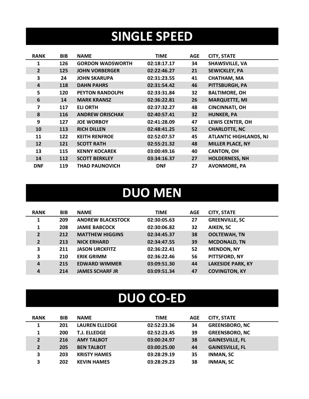### **SINGLE SPEED**

| <b>RANK</b>    | <b>BIB</b> | <b>NAME</b>             | <b>TIME</b> | <b>AGE</b> | <b>CITY, STATE</b>            |
|----------------|------------|-------------------------|-------------|------------|-------------------------------|
|                | 126        | <b>GORDON WADSWORTH</b> | 02:18:17.17 | 34         | SHAWSVILLE, VA                |
| $\overline{2}$ | 125        | <b>JOHN VORBERGER</b>   | 02:22:46.27 | 21         | <b>SEWICKLEY, PA</b>          |
| 3              | 24         | <b>JOHN SKARUPA</b>     | 02:31:23.55 | 41         | <b>CHATHAM, MA</b>            |
| 4              | 118        | <b>DAHN PAHRS</b>       | 02:31:54.42 | 46         | PITTSBURGH, PA                |
| 5              | 120        | <b>PEYTON RANDOLPH</b>  | 02:33:31.84 | 32         | <b>BALTIMORE, OH</b>          |
| 6              | 14         | <b>MARK KRANSZ</b>      | 02:36:22.81 | 26         | <b>MARQUETTE, MI</b>          |
| 7              | 117        | <b>ELI ORTH</b>         | 02:37:32.27 | 48         | <b>CINCINNATI, OH</b>         |
| 8              | 116        | <b>ANDREW ORISCHAK</b>  | 02:40:57.41 | 32         | <b>HUNKER, PA</b>             |
| 9              | 127        | <b>JOE WORBOY</b>       | 02:41:28.09 | 47         | <b>LEWIS CENTER, OH</b>       |
| 10             | 113        | <b>RICH DILLEN</b>      | 02:48:41.25 | 52         | <b>CHARLOTTE, NC</b>          |
| 11             | 122        | <b>KEITH RENFROE</b>    | 02:52:07.57 | 45         | <b>ATLANTIC HIGHLANDS, NJ</b> |
| 12             | 121        | <b>SCOTT RATH</b>       | 02:55:21.32 | 48         | <b>MILLER PLACE, NY</b>       |
| 13             | 115        | <b>KENNY KOCAREK</b>    | 03:00:49.16 | 40         | <b>CANTON, OH</b>             |
| 14             | 112        | <b>SCOTT BERKLEY</b>    | 03:34:16.37 | 27         | <b>HOLDERNESS, NH</b>         |
| <b>DNF</b>     | 119        | <b>THAD PAUNOVICH</b>   | <b>DNF</b>  | 27         | <b>AVONMORE, PA</b>           |

#### **DUO MEN**

| <b>RANK</b>    | <b>BIB</b> | <b>NAME</b>              | <b>TIME</b> | <b>AGE</b> | <b>CITY, STATE</b>       |
|----------------|------------|--------------------------|-------------|------------|--------------------------|
| 1              | 209        | <b>ANDREW BLACKSTOCK</b> | 02:30:05.63 | 27         | <b>GREENVILLE, SC</b>    |
| 1              | 208        | <b>JAMIE BABCOCK</b>     | 02:30:06.82 | 32         | AIKEN, SC                |
| $\overline{2}$ | 212        | <b>MATTHEW HIGGINS</b>   | 02:34:45.37 | 38         | <b>OOLTEWAH, TN</b>      |
| $\overline{2}$ | 213        | <b>NICK ERHARD</b>       | 02:34:47.55 | 39         | <b>MCDONALD, TN</b>      |
| 3              | 211        | <b>JASON URCKFITZ</b>    | 02:36:22.41 | 52         | <b>MENDON, NY</b>        |
| 3              | 210        | <b>ERIK GRIMM</b>        | 02:36:22.46 | 56         | PITTSFORD, NY            |
| 4              | 215        | <b>EDWARD WIMMER</b>     | 03:09:51.30 | 44         | <b>LAKESIDE PARK, KY</b> |
| $\overline{a}$ | 214        | <b>JAMES SCHARF JR</b>   | 03:09:51.34 | 47         | <b>COVINGTON, KY</b>     |

### **DUO CO-ED**

| <b>RANK</b>    | <b>BIB</b> | <b>NAME</b>           | <b>TIME</b> | <b>AGE</b> | <b>CITY, STATE</b>     |
|----------------|------------|-----------------------|-------------|------------|------------------------|
| 1              | 201        | <b>LAUREN ELLEDGE</b> | 02:52:23.36 | 34         | <b>GREENSBORO, NC</b>  |
| 1              | 200        | <b>T.J. ELLEDGE</b>   | 02:52:23.45 | 39         | <b>GREENSBORO, NC</b>  |
| 2 <sup>1</sup> | 216        | <b>AMY TALBOT</b>     | 03:00:24.97 | 38         | <b>GAINESVILLE, FL</b> |
| 2 <sup>1</sup> | 205        | <b>BEN TALBOT</b>     | 03:00:25.00 | 44         | <b>GAINESVILLE, FL</b> |
| 3              | 203        | <b>KRISTY HAMES</b>   | 03:28:29.19 | 35         | <b>INMAN, SC</b>       |
| 3              | 202        | <b>KEVIN HAMES</b>    | 03:28:29.23 | 38         | <b>INMAN, SC</b>       |